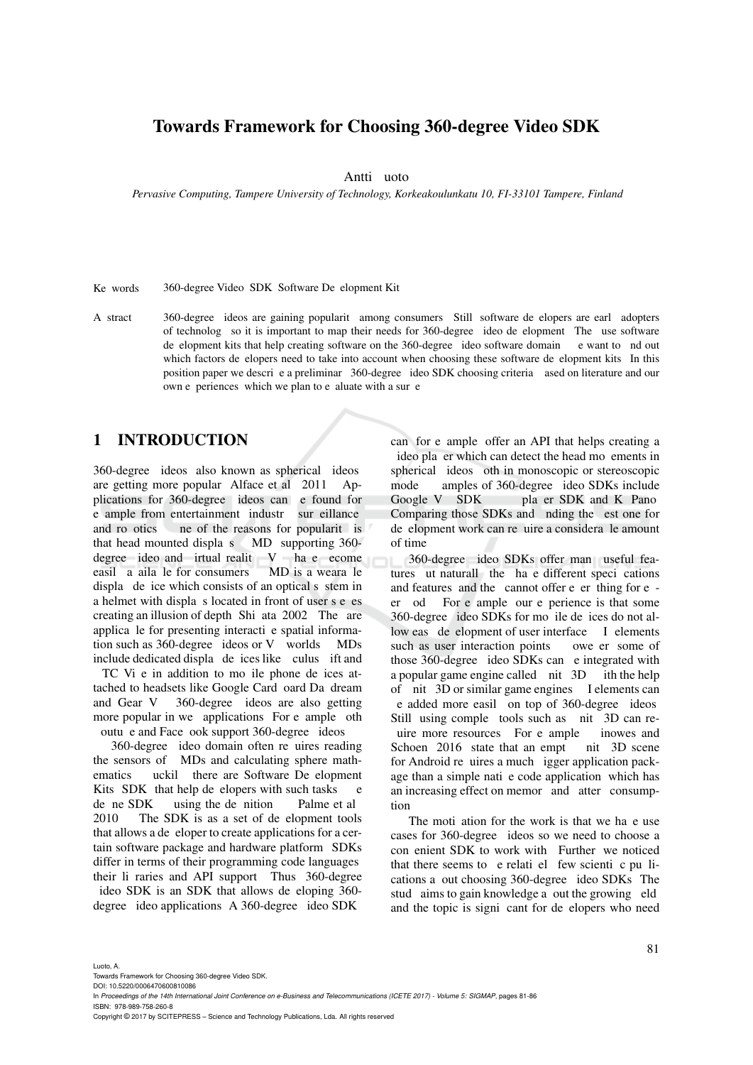## Towards Framework for Choosing 360-degree Video SDK

Antti uoto

*Pervasive Computing, Tampere University of Technology, Korkeakoulunkatu 10, FI-33101 Tampere, Finland*

Ke words 360-degree Video, SDK, Software Development Kit.

A stract 360-degree ideos are gaining popularit among consumers. Still software de elopers are early adopters of technolog so it is important to map their needs for 360-degree ideo de elopment. The use software de elopment kits that help creating software on the 360-degree ideo software domain e want to nd out which factors de elopers need to take into account when choosing these software de elopment kits. In this position paper we descrive a preliminary 360-degree ideo SDK choosing criteria, ased on literature and our own e periences which we plan to e aluate with a sur e

# 1 INTRODUCTION

360-degree ideos also known as spherical ideos are getting more popular Alface et al. 2011 Applications for 360-degree ideos can e found for e ample from entertainment industr sur eillance and ro otics. In the reasons for popularity is that head mounted displays  $MD$  supporting 360degree ideo and irtual realit  $V$  have ecome easil a aila le for consumers. MD is a weara le display device which consists of an optical system in a helmet with displays located in front of user s eyes creating an illusion of depth Shi ata 2002 The are applica le for presenting interacti e spatial information such as  $360$ -degree ideos or V worlds. MDs include dedicated display devices like culus ift and TC Vi e in addition to mo ile phone de ices attached to headsets like Google Card oard Da dream

and Gear V 360-degree ideos are also getting more popular in we applications. For e ample oth outu e and Face ook support 360-degree ideos.

360-degree ideo domain often re uires reading the sensors of MDs and calculating sphere mathematics uckil there are Software De elopment Kits SDK that help de elopers with such tasks e de ne SDK using the de nition Palme et al. 2010 The SDK is as a set of de elopment tools that allows a developer to create applications for a certain software package and hardware platform. SDKs differ in terms of their programming code languages their li raries and API support. Thus, 360-degree ideo SDK is an SDK that allows de eloping 360degree ideo applications. A 360-degree ideo SDK

can, for e ample, offer an API that helps creating a ideo player which can detect the head movements in spherical ideos oth in monoscopic or stereoscopic mode amples of 360-degree ideo SDKs include Google V SDK pla er SDK and K Pano. Comparing those SDKs and nding the est one for de elopment work can require a considerable amount of time.

360-degree ideo SDKs offer man useful features ut naturally the have different specifications and features, and the cannot offer everything for eer od For e ample our e perience is that some 360-degree ideo SDKs for mo ile de ices do not allow eas de elopment of user interface I elements such as user interaction points owe er some of those 360-degree ideo SDKs can e integrated with a popular game engine called  $\overline{u}$  nit 3D ith the help of nit 3D or similar game engines I elements can e added more easil on top of 360-degree ideos Still, using comple tools such as nit 3D can reuire more resources. For e ample inowes and<br>Schoen 2016 state that an empt in and scene Schoen  $2016$  state that an empt for Android requires a much igger application package than a simple native code application, which has an increasing effect on memor and atter consumption.

The moti ation for the work is that we have use cases for 360-degree ideos so we need to choose a con enient SDK to work with. Further, we noticed that there seems to  $e$  relatively few scientific publications a out choosing 360-degree ideo SDKs. The stud aims to gain knowledge a out the growing eld and the topic is signi cant for de elopers who need

Luoto, A.

Towards Framework for Choosing 360-degree Video SDK.

DOI: 10.5220/0006470600810086

Copyright © 2017 by SCITEPRESS – Science and Technology Publications, Lda. All rights reserved

In *Proceedings of the 14th International Joint Conference on e-Business and Telecommunications (ICETE 2017) - Volume 5: SIGMAP*, pages 81-86 ISBN: 978-989-758-260-8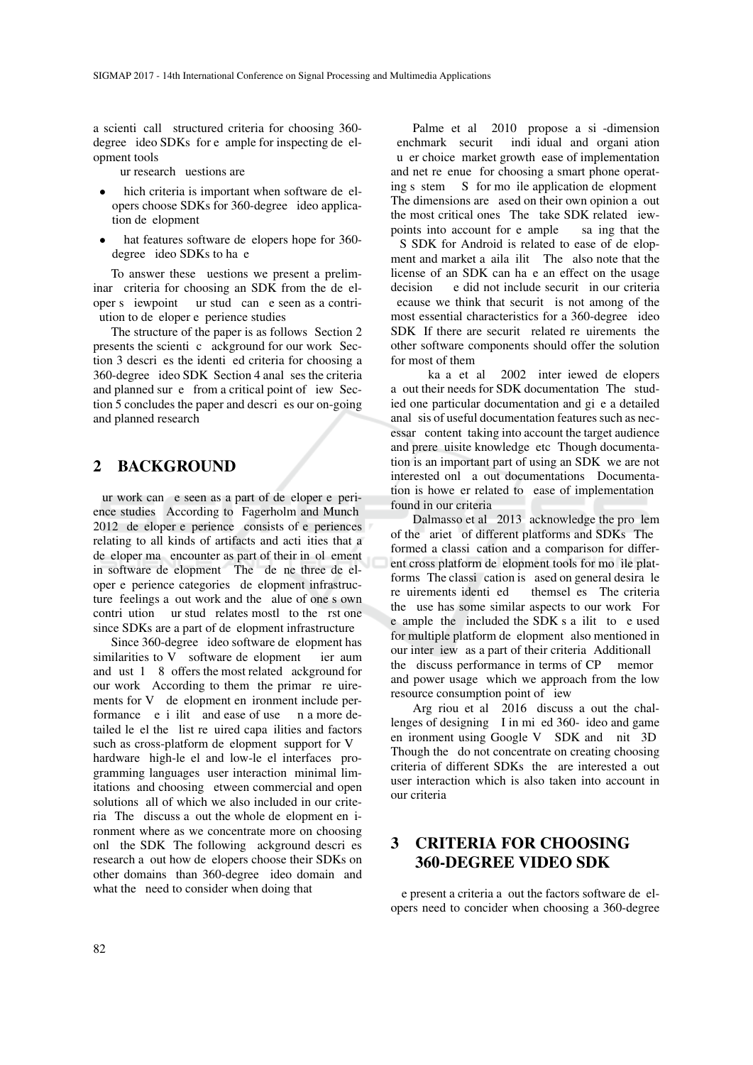a scienti call structured criteria for choosing 360degree ideo SDKs for e ample for inspecting de elopment tools.

ur research uestions are

- hich criteria is important when software de elopers choose SDKs for 360-degree ideo application de elopment
- hat features software de elopers hope for 360degree ideo SDKs to have

To answer these uestions we present a preliminar criteria for choosing an SDK from the de eloper s iewpoint ur stud can e seen as a contriution to de eloper e perience studies.

The structure of the paper is as follows. Section 2 presents the scientic cackground for our work. Section 3 descri es the identi ed criteria for choosing a 360-degree ideo SDK Section 4 analyses the criteria and planned survey from a critical point of iew. Section 5 concludes the paper and descries our on-going and planned research.

### 2 BACKGROUND

ur work can e seen as a part of de eloper e perience studies According to Fagerholm and Munch 2012 de eloper e perience consists of e periences relating to all kinds of artifacts and acti ities that a de eloper may encounter as part of their in ol ement in software de elopment. The de ne three de eloper e perience categories de elopment infrastructure, feelings a out work and the alue of one s own contri ution ur study relates mostly to the rst one since SDKs are a part of de elopment infrastructure.

Since 360-degree ideo software de elopment has similarities to  $V$  software development ier aum and ust  $1\quad 8$  offers the most related ackground for our work. According to them, the primary requirements for V de elopment en ironment include performance  $\epsilon$  i ilit and ease of use n a more detailed level the list required capabilities and factors such as cross-platform de elopment, support for V hardware high-le el and low-le el interfaces programming languages, user interaction, minimal limitations, and choosing etween commercial and open solutions, all of which we also included in our criteria. The discuss a out the whole de elopment en ironment where as we concentrate more on choosing onl the SDK The following ackground descri es research a out how de elopers choose their SDKs on other domains than 360-degree ideo domain and what the need to consider when doing that.

Palme et al. 2010 propose a si-dimension enchmark securit individual and organization u er choice, market growth, ease of implementation and net re enue for choosing a smart phone operating s stem  $S$  for mo ile application de elopment. The dimensions are ased on their own opinion a out the most critical ones. The take SDK related iewpoints into account for e ample saying that the S SDK for Android is related to ease of de elopment and market a aila ilit. The also note that the license of an SDK can have an effect on the usage decision e did not include securit in our criteria ecause we think that securit is not among of the most essential characteristics for a 360-degree ideo SDK If there are securit related requirements, the other software components should offer the solution for most of them.

ka a et al. 2002 inter iewed de elopers a out their needs for SDK documentation. The studied one particular documentation and gi e a detailed anal sis of useful documentation features such as necessar content taking into account the target audience and prere uisite knowledge etc. Though documentation is an important part of using an SDK, we are not interested onl a out documentations. Documentation is howe er related to ease of implementation found in our criteria.

Dalmasso et al. 2013 acknowledge the prollem of the ariet of different platforms and SDKs. The formed a classi cation and a comparison for different cross platform de elopment tools for mo ile platforms. The classication is ased on general desirable re uirements identi ed themsel es. The criteria the use has some similar aspects to our work. For e ample the included the SDK's a ilit to e used for multiple platform de elopment also mentioned in our inter iew as a part of their criteria Additionall the discuss performance in terms of CP memor and power usage, which we approach from the low resource consumption point of iew

Arg riou et al. 2016 discuss a out the challenges of designing I in mi ed  $360$ -ideo and game en ironment using Google V SDK and nit 3D Though the do not concentrate on creating choosing criteria of different SDKs the are interested a out user interaction which is also taken into account in our criteria.

# 3 CRITERIA FOR CHOOSING 360-DEGREE VIDEO SDK

e present a criteria a out the factors software de elopers need to concider when choosing a 360-degree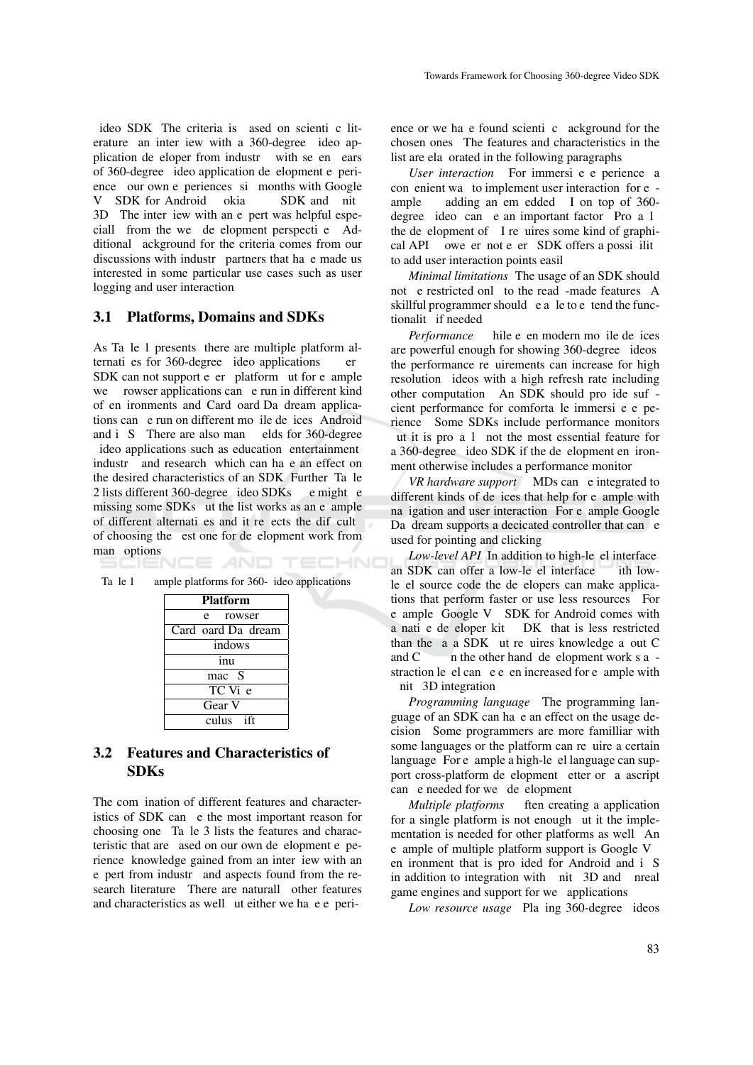ideo SDK. The criteria is ased on scienti c literature an inter iew with a 360-degree ideo application de eloper from industry with seen ears of 360-degree ideo application de elopment e perience our own e periences si months with Google V SDK for Android okia SDK and nit 3D The inter iew with an e pert was helpful especiall from the we de elopment perspective. Additional ackground for the criteria comes from our discussions with industr partners that have made us interested in some particular use cases such as user logging and user interaction.

#### 3.1 Platforms, Domains and SDKs

As Ta le 1 presents, there are multiple platform alternatives for 360-degree ideo applications er  $SDK$  can not support e er platform ut for e ample we rowser applications can e run in different kind of en ironments and Card oard Da dream applications can e run on different mo ile de ices Android and i S There are also many elds for 360-degree ideo applications such as education entertainment industry, and research, which can have an effect on the desired characteristics of an SDK Further Ta le 2 lists different 360-degree ideo SDKs e might e missing some SDKs ut the list works as an e ample of different alternatives and it reflects the difficult of choosing the est one for de elopment work from man options

| ample platforms for 360- ideo applications |  | Ta le 1 |
|--------------------------------------------|--|---------|
|--------------------------------------------|--|---------|

AND

HNC

| <b>Platform</b>         |  |  |
|-------------------------|--|--|
| e rowser                |  |  |
| Card oard Da dream      |  |  |
| indows                  |  |  |
| inu                     |  |  |
| mac S                   |  |  |
| $TC$ V <sub>i</sub> $e$ |  |  |
| Gear V                  |  |  |
| culus ift               |  |  |

#### 3.2 Features and Characteristics of **SDKs**

The com ination of different features and characteristics of SDK can e the most important reason for choosing one. Ta le 3 lists the features and characteristic that are ased on our own de elopment e perience, knowledge gained from an inter iew with an e pert from industr and aspects found from the research literature There are naturall other features and characteristics as well ut either we have experience or we have found scientific ackground for the chosen ones. The features and characteristics in the list are ela orated in the following paragraphs.

*User interaction* For immersi e e perience a convenient way to implement user interaction for eample adding an em edded I on top of 360degree ideo can e an important factor. Pro a l the development of I requires some kind of graphical API owe er not e er SDK offers a possi ilit to add user interaction points easil

*Minimal limitations*. The usage of an SDK should not e restricted only to the read-made features. A skillful programmer should e a le to e tend the functionalit if needed

*Performance* hile e en modern mo ile de ices are powerful enough for showing 360-degree ideos the performance re uirements can increase for high resolution ideos with a high refresh rate including other computation. An SDK should pro ide sufcient performance for comforta le immersi e e perience. Some SDKs include performance monitors ut it is pro  $a \mid$  not the most essential feature for a 360-degree ideo SDK if the de elopment en ironment otherwise includes a performance monitor.

*VR hardware support* MDs can e integrated to different kinds of de ices that help for e ample with na igation and user interaction. For e ample Google Da dream supports a decicated controller that can e used for pointing and clicking.

*Low-level API* In addition to high-le el interface an SDK can offer a low-le el interface ith lowle el source code the de elopers can make applications that perform faster or use less resources. For e ample, Google V SDK for Android comes with a nati e de eloper kit DK that is less restricted than the  $a$  a SDK ut requires knowledge a out C and  $C$  -  $n$  the other hand, development work  $s$  a straction level can even increased for e ample with nit 3D integration.

*Programming language*. The programming language of an SDK can have an effect on the usage decision. Some programmers are more familliar with some languages or the platform can require a certain language<sup>For e</sup> ample a high-le el language can support cross-platform de elopment etter or a ascript can e needed for we de elopment.

*Multiple platforms* ften creating a application for a single platform is not enough ut it the implementation is needed for other platforms as well. An e ample of multiple platform support is Google V en ironment that is pro ided for Android and i S in addition to integration with nit 3D and nreal game engines and support for we applications.

*Low resource usage* Pla ing 360-degree ideos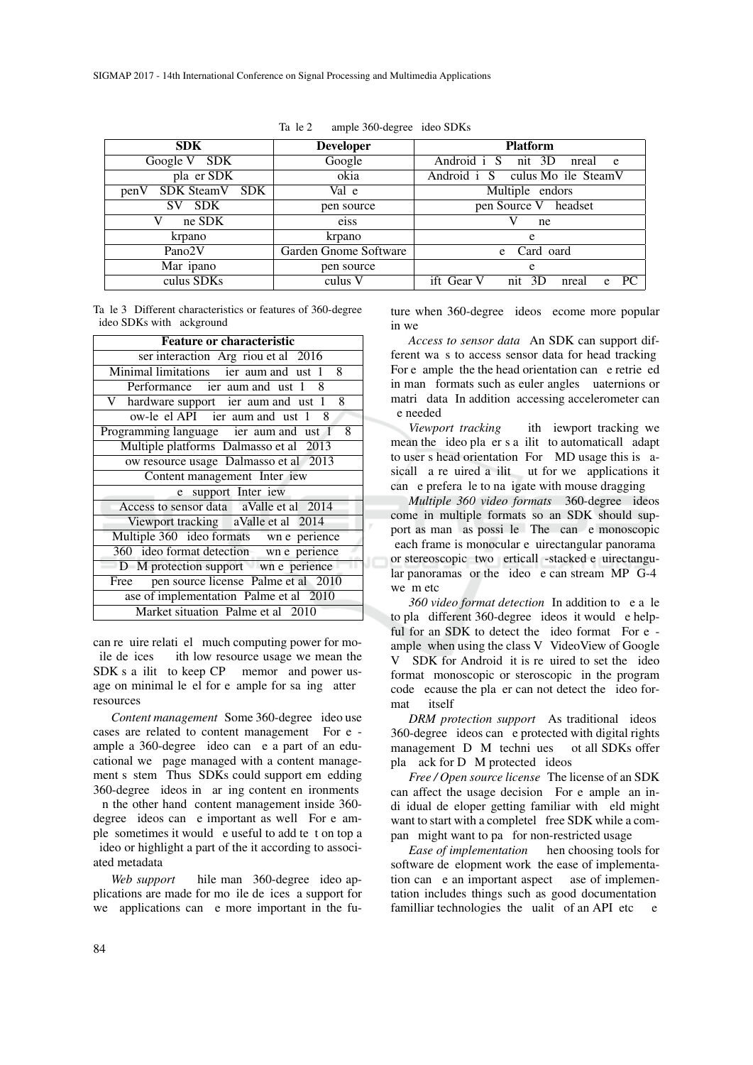| <b>SDK</b>             | <b>Developer</b>      | <b>Platform</b>                                |  |
|------------------------|-----------------------|------------------------------------------------|--|
| Google V SDK           | Google                | Android i S<br>nit 3D<br>nreal<br>$^{\circ}$ e |  |
| pla er SDK             | okia                  | Android i S culus Mo ile SteamV                |  |
| SDK SteamV SDK<br>penV | Val e                 | Multiple endors                                |  |
| <b>SDK</b><br>SV.      | pen source            | pen Source V headset                           |  |
| ne SDK                 | eiss                  | ne                                             |  |
| krpano                 | krpano                | e                                              |  |
| Pano <sub>2V</sub>     | Garden Gnome Software | Card oard<br>e                                 |  |
| Mar ipano              | pen source            | e                                              |  |
| culus SDKs             | culus V               | ift Gear V<br>PC<br>nit 3D<br>nreal<br>e       |  |

JΠ

| Tale 2<br>ample 360-degree ideo SDKs |  |
|--------------------------------------|--|
|--------------------------------------|--|

Ta le 3: Different characteristics or features of 360-degree ideo SDKs with ackground

| <b>Feature or characteristic</b>           |  |  |
|--------------------------------------------|--|--|
| ser interaction Arg riou et al 2016        |  |  |
| Minimal limitations ier aum and ust 1 8    |  |  |
| Performance ier aum and ust 1 8            |  |  |
| V hardware support ier aum and ust 1<br>8  |  |  |
| $ow-le$ el API ier aum and ust $1 \quad 8$ |  |  |
| Programming language ier aum and ust 1 8   |  |  |
| Multiple platforms Dalmasso et al 2013     |  |  |
| ow resource usage Dalmasso et al 2013      |  |  |
| Content management Inter iew               |  |  |
| support Inter iew<br>e                     |  |  |
| Access to sensor data aValle et al 2014    |  |  |
| Viewport tracking aValle et al 2014        |  |  |
| Multiple 360 ideo formats wn e perience    |  |  |
| 360 ideo format detection wn e perience    |  |  |
| D M protection support wn e perience       |  |  |
| Free pen source license Palme et al 2010   |  |  |
| ase of implementation Palme et al 2010     |  |  |
| Market situation Palme et al 2010          |  |  |

can require relational much computing power for moile de ices ith low resource usage we mean the  $SDK s a$  ilit to keep  $CP$  memory and power usage on minimal level for example for saving atter resources.

*Content management* Some 360-degree ideo use cases are related to content management. For  $e$  ample a 360-degree ideo can e a part of an educational we page managed with a content management s stem. Thus, SDKs could support em edding 360-degree ideos in ar ing content en ironments. n the other hand, content management inside 360degree ideos can e important as well For e ample, sometimes it would e useful to add text on top a ideo or highlight a part of the it according to associated metadata.

*Web support* hile man 360-degree ideo applications are made for mo ile de ices, a support for we applications can e more important in the future when 360-degree ideos ecome more popular in we

*Access to sensor data*. An SDK can support different ways to access sensor data for head tracking. For e ample the the head orientation can e retrieved in man formats such as euler angles uaternions or matri data. In addition accessing accelerometer can be needed.

*Viewport tracking* ith iewport tracking we mean the ideo player's a ility to automatically adapt to user's head orientation. For MD usage this is asically a required a iliteration but for we applications it can e preferale to na igate with mouse dragging.

*Multiple 360 video formats* 360-degree ideos come in multiple formats so an SDK should support as man as possi le The can e monoscopic each frame is monocular e uirectangular panorama or stereoscopic two erticall -stacked e uirectangular panoramas or the ideo e can stream MP G-4 we m etc.

*360 video format detection* In addition to e a le to play different 360-degree ideos it would e helpful for an SDK to detect the ideo format. For  $e$  ample, when using the class V. VideoView of Google V SDK for Android it is required to set the ideo format monoscopic or steroscopic in the program code ecause the player can not detect the ideo format itself

*DRM protection support* As traditional ideos 360-degree ideos can e protected with digital rights management D M techni ues ot all SDKs offer play ack for D M protected ideos.

*Free / Open source license*. The license of an SDK can affect the usage decision. For e ample, an indi idual de eloper getting familiar with eld might want to start with a completel free SDK while a compan might want to pay for non-restricted usage

*Ease of implementation* hen choosing tools for software de elopment work, the ease of implementation can e an important aspect ase of implementation includes things such as good documentation, familliar technologies, the uality of an API etc.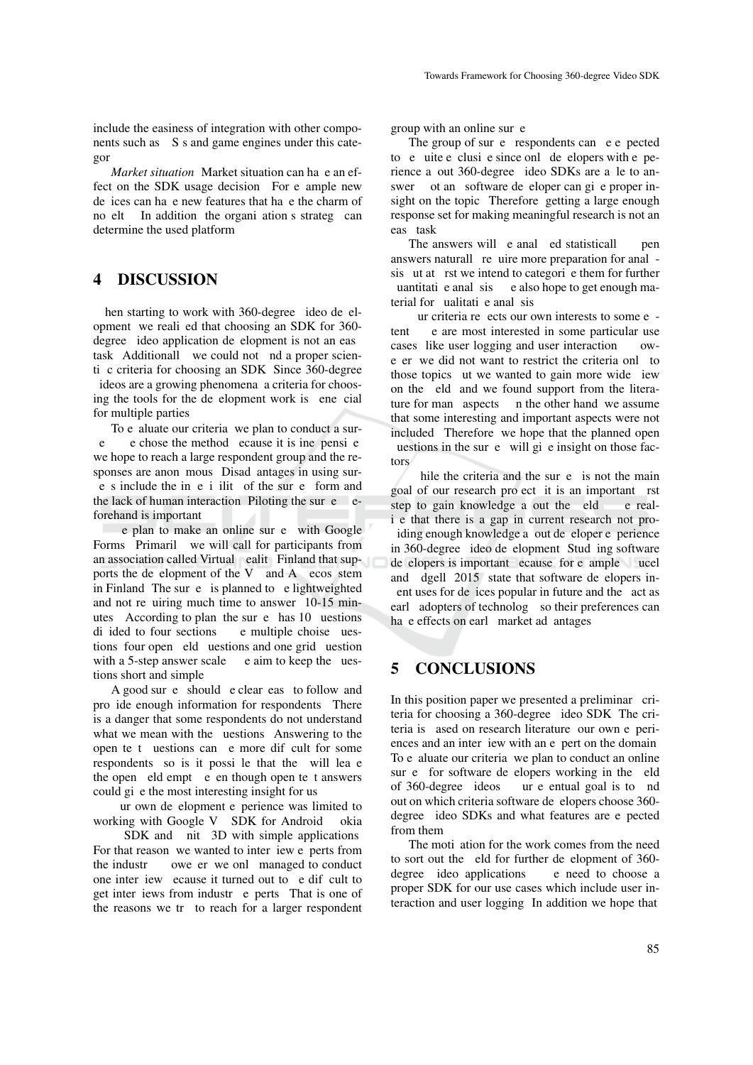include the easiness of integration with other components such as S s and game engines under this categor

*Market situation* Market situation can ha e an effect on the SDK usage decision. For e ample new de ices can have new features that have the charm of no elt In addition the organization's strategy can determine the used platform.

#### 4 DISCUSSION

hen starting to work with 360-degree ideo de elopment, we realied that choosing an SDK for 360degree ideo application de elopment is not an eas task Additionall we could not nd a proper scienti c criteria for choosing an SDK Since 360-degree ideos are a growing phenomena a criteria for choosing the tools for the de elopment work is ene cial for multiple parties.

To e aluate our criteria, we plan to conduct a sur $e$  e chose the method ecause it is ine pensive we hope to reach a large respondent group and the responses are anon mous. Disad antages in using sure s include the ine i ilit of the survey form and the lack of human interaction. Piloting the survey beforehand is important.

e plan to make an online sur e with Google Forms Primaril we will call for participants from an association called Virtual ealit Finland that supports the de elopment of the V and A ecos stem in Finland. The survey is planned to e lightweighted and not requiring much time to answer  $(10-15)$  minutes According to plan, the survey has  $10$  uestions di ided to four sections e multiple choise uestions four open eld uestions and one grid uestion with a 5-step answer scale  $\cdot$  e aim to keep the uestions short and simple.

A good survey should e clear easy to follow and pro ide enough information for respondents. There is a danger that some respondents do not understand what we mean with the uestions Answering to the open te t uestions can e more dif cult for some respondents, so is it possible that the will leave the open eld empt e en though open te t answers could give the most interesting insight for us.

ur own de elopment e perience was limited to working with Google V SDK for Android okia

SDK and nit 3D with simple applications. For that reason, we wanted to interview experts from the industr owe er we only managed to conduct one inter iew ecause it turned out to  $e$  difficult to get inter iews from industry experts. That is one of the reasons we try to reach for a larger respondent group with an online sur e

The group of sur  $e$  respondents can  $e$  e pected to e uite e clusi e since onl de elopers with e perience a out 360-degree ideo SDKs are a le to answer ot an software de eloper can give proper insight on the topic. Therefore, getting a large enough response set for making meaningful research is not an eas task

The answers will e anal ed statisticall pen answers naturally require more preparation for anal sis ut at rst we intend to categorie them for further uantitati e anal sis e also hope to get enough material for ualitati e anal sis.

 $ur$  criteria reedets our own interests to some e tent. e are most interested in some particular use cases like user logging and user interaction owe er we did not want to restrict the criteria only to those topics ut we wanted to gain more wide iew on the eld and we found support from the literature for man aspects n the other hand, we assume that some interesting and important aspects were not included. Therefore, we hope that the planned open uestions in the survey will give insight on those factors.

hile the criteria and the survey is not the main goal of our research pro ect it is an important rst step to gain knowledge a out the eld e reali e that there is a gap in current research not proiding enough knowledge a out de eloper e perience in 360-degree ideo de elopment. Stud ing software de elopers is important ecause for e ample, ucel and  $\frac{d}{dt}$  and  $\frac{d}{dt}$  2015 state that software de elopers inent uses for de ices popular in future and the act as early adopters of technology, so their preferences can have effects on early market advantages

### 5 CONCLUSIONS

In this position paper we presented a preliminar criteria for choosing a 360-degree ideo SDK The criteria is ased on research literature, our own e periences and an interview with an eyert on the domain To e aluate our criteria, we plan to conduct an online sur e for software de elopers working in the eld of 360-degree ideos ur e entual goal is to nd out on which criteria software de elopers choose 360degree ideo SDKs and what features are e pected from them.

The moti ation for the work comes from the need to sort out the eld for further de elopment of 360degree ideo applications e need to choose a proper SDK for our use cases which include user interaction and user logging. In addition we hope that